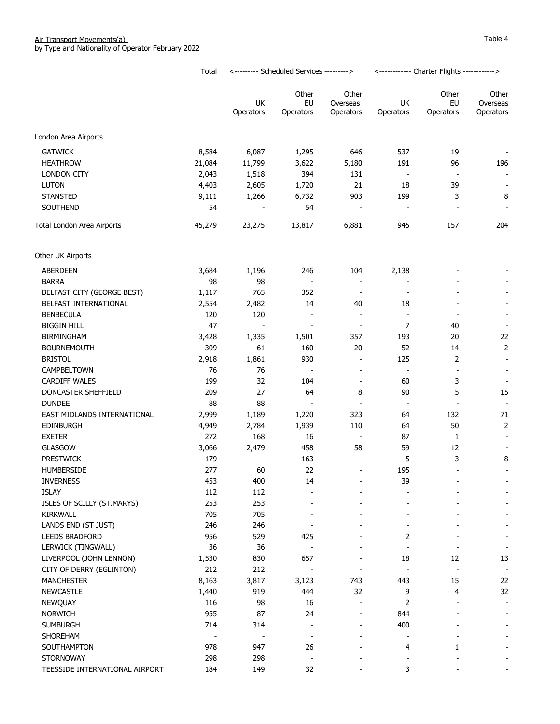|                                               | Total      | <--------- Scheduled Services ---------> |                                |                                                      | <------------ Charter Flights ------------> |                          |                                |
|-----------------------------------------------|------------|------------------------------------------|--------------------------------|------------------------------------------------------|---------------------------------------------|--------------------------|--------------------------------|
|                                               |            | UK<br>Operators                          | Other<br>EU<br>Operators       | Other<br>Overseas<br>Operators                       | UK<br>Operators                             | Other<br>EU<br>Operators | Other<br>Overseas<br>Operators |
| London Area Airports                          |            |                                          |                                |                                                      |                                             |                          |                                |
| <b>GATWICK</b>                                | 8,584      | 6,087                                    | 1,295                          | 646                                                  | 537                                         | 19                       |                                |
| <b>HEATHROW</b>                               | 21,084     | 11,799                                   | 3,622                          | 5,180                                                | 191                                         | 96                       | 196                            |
| LONDON CITY                                   | 2,043      | 1,518                                    | 394                            | 131                                                  | $\overline{\phantom{a}}$                    | $\overline{\phantom{a}}$ |                                |
| <b>LUTON</b>                                  | 4,403      | 2,605                                    | 1,720                          | 21                                                   | 18                                          | 39                       |                                |
| <b>STANSTED</b>                               | 9,111      | 1,266                                    | 6,732                          | 903                                                  | 199                                         | 3                        | 8                              |
| SOUTHEND                                      | 54         |                                          | 54                             | $\overline{\phantom{a}}$                             | $\overline{\phantom{a}}$                    |                          |                                |
| Total London Area Airports                    | 45,279     | 23,275                                   | 13,817                         | 6,881                                                | 945                                         | 157                      | 204                            |
| Other UK Airports                             |            |                                          |                                |                                                      |                                             |                          |                                |
|                                               |            |                                          |                                |                                                      |                                             |                          |                                |
| ABERDEEN                                      | 3,684      | 1,196                                    | 246                            | 104                                                  | 2,138                                       |                          |                                |
| <b>BARRA</b>                                  | 98         | 98                                       | $\overline{\phantom{a}}$       | $\overline{\phantom{a}}$                             |                                             |                          |                                |
| BELFAST CITY (GEORGE BEST)                    | 1,117      | 765                                      | 352                            | $\overline{\phantom{a}}$                             | $\overline{\phantom{a}}$                    |                          |                                |
| BELFAST INTERNATIONAL                         | 2,554      | 2,482                                    | 14                             | 40                                                   | 18                                          |                          |                                |
| <b>BENBECULA</b>                              | 120        | 120                                      | $\qquad \qquad \blacksquare$   | $\overline{\phantom{a}}$                             | $\overline{\phantom{a}}$                    | $\overline{\phantom{a}}$ |                                |
| <b>BIGGIN HILL</b>                            | 47         | $\blacksquare$                           | $\overline{\phantom{m}}$       | $\overline{\phantom{a}}$                             | $\overline{7}$                              | 40                       |                                |
| <b>BIRMINGHAM</b>                             | 3,428      | 1,335                                    | 1,501                          | 357                                                  | 193                                         | 20                       | 22                             |
| <b>BOURNEMOUTH</b>                            | 309        | 61                                       | 160                            | 20                                                   | 52                                          | 14                       | $\overline{2}$                 |
| <b>BRISTOL</b>                                | 2,918      | 1,861                                    | 930                            | $\overline{\phantom{a}}$                             | 125                                         | $\mathbf 2$              | $\overline{\phantom{a}}$       |
| CAMPBELTOWN                                   | 76         | 76                                       | $\overline{\phantom{a}}$       | $\overline{\phantom{a}}$                             | $\overline{\phantom{a}}$                    | $\overline{\phantom{a}}$ |                                |
| <b>CARDIFF WALES</b>                          | 199        | 32                                       | 104                            | $\overline{\phantom{a}}$                             | 60                                          | 3                        | $\overline{\phantom{a}}$       |
| DONCASTER SHEFFIELD                           | 209        | 27                                       | 64                             | 8                                                    | 90                                          | 5                        | 15                             |
| <b>DUNDEE</b>                                 | 88         | 88                                       | $\overline{\phantom{a}}$       | $\blacksquare$                                       | $\overline{\phantom{a}}$                    |                          |                                |
| EAST MIDLANDS INTERNATIONAL                   | 2,999      | 1,189                                    | 1,220                          | 323                                                  | 64                                          | 132                      | 71                             |
| <b>EDINBURGH</b>                              | 4,949      | 2,784                                    | 1,939                          | 110                                                  | 64                                          | 50                       | $\overline{2}$                 |
| <b>EXETER</b>                                 | 272        | 168                                      | 16                             | $\overline{\phantom{a}}$                             | 87                                          | 1                        |                                |
| <b>GLASGOW</b>                                | 3,066      | 2,479                                    | 458                            | 58                                                   | 59                                          | 12                       |                                |
| <b>PRESTWICK</b>                              | 179        |                                          | 163                            |                                                      | 5                                           | 3                        | 8                              |
| HUMBERSIDE                                    | 277        | 60                                       | 22                             | $\blacksquare$                                       | 195                                         |                          |                                |
| <b>INVERNESS</b>                              | 453        | 400                                      | 14                             |                                                      | 39                                          |                          |                                |
| <b>ISLAY</b>                                  | 112        | 112                                      |                                |                                                      |                                             |                          |                                |
| ISLES OF SCILLY (ST.MARYS)                    | 253        | 253                                      |                                |                                                      |                                             |                          |                                |
| KIRKWALL                                      | 705        | 705                                      |                                |                                                      |                                             |                          |                                |
| LANDS END (ST JUST)                           | 246        | 246                                      |                                |                                                      |                                             |                          |                                |
| <b>LEEDS BRADFORD</b>                         | 956        | 529                                      | 425                            |                                                      | 2                                           |                          |                                |
| LERWICK (TINGWALL)<br>LIVERPOOL (JOHN LENNON) | 36         | 36                                       |                                |                                                      |                                             |                          | $\overline{a}$                 |
|                                               | 1,530      | 830                                      | 657                            |                                                      | 18                                          | 12                       | 13                             |
| CITY OF DERRY (EGLINTON)                      | 212        | 212                                      |                                | $\overline{\phantom{a}}$                             |                                             |                          | $\overline{a}$                 |
| <b>MANCHESTER</b>                             | 8,163      | 3,817                                    | 3,123<br>444                   | 743<br>32                                            | 443                                         | 15<br>4                  | 22<br>32                       |
| <b>NEWCASTLE</b>                              | 1,440      | 919                                      |                                |                                                      | 9                                           |                          |                                |
| NEWQUAY                                       | 116<br>955 | 98<br>87                                 | 16<br>24                       | $\overline{\phantom{a}}$<br>$\overline{\phantom{a}}$ | 2                                           |                          | $\overline{\phantom{a}}$       |
| <b>NORWICH</b>                                | 714        |                                          |                                | $\qquad \qquad$                                      | 844<br>400                                  |                          | $\overline{\phantom{a}}$       |
| <b>SUMBURGH</b>                               |            | 314                                      | $\overline{\phantom{0}}$       |                                                      |                                             |                          |                                |
| SHOREHAM                                      | 978        |                                          | $\qquad \qquad \blacksquare$   |                                                      |                                             |                          |                                |
| SOUTHAMPTON<br><b>STORNOWAY</b>               | 298        | 947<br>298                               | 26<br>$\overline{\phantom{a}}$ |                                                      | 4                                           | 1                        |                                |
| TEESSIDE INTERNATIONAL AIRPORT                | 184        | 149                                      | 32                             |                                                      | 3                                           |                          |                                |
|                                               |            |                                          |                                |                                                      |                                             |                          |                                |